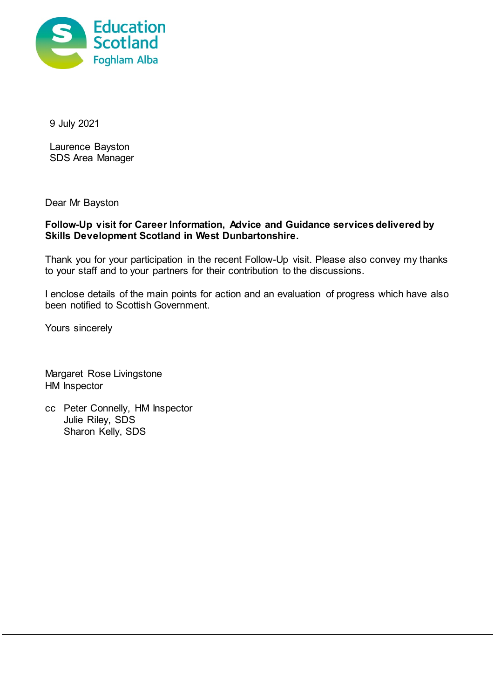

9 July 2021

Laurence Bayston SDS Area Manager

Dear Mr Bayston

## **Follow-Up visit for Career Information, Advice and Guidance services delivered by Skills Development Scotland in West Dunbartonshire.**

Thank you for your participation in the recent Follow-Up visit. Please also convey my thanks to your staff and to your partners for their contribution to the discussions.

I enclose details of the main points for action and an evaluation of progress which have also been notified to Scottish Government.

Yours sincerely

Margaret Rose Livingstone HM Inspector

cc Peter Connelly, HM Inspector Julie Riley, SDS Sharon Kelly, SDS